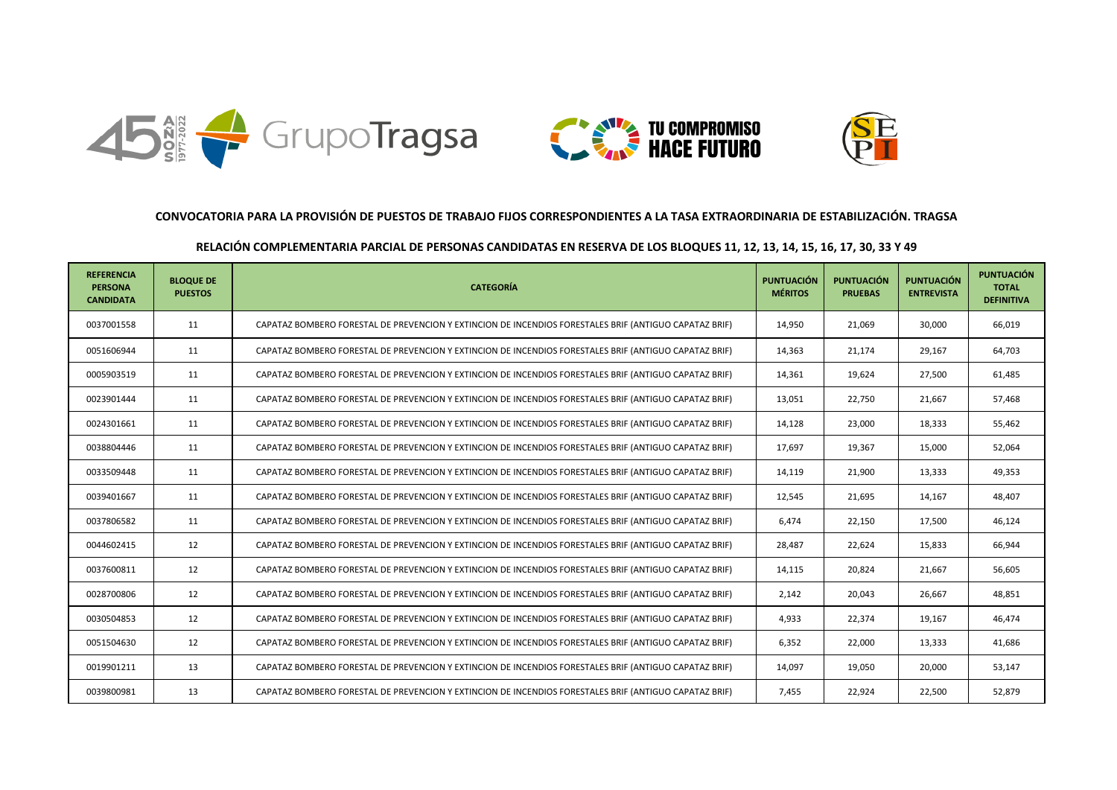





## **CONVOCATORIA PARA LA PROVISIÓN DE PUESTOS DE TRABAJO FIJOS CORRESPONDIENTES A LA TASA EXTRAORDINARIA DE ESTABILIZACIÓN. TRAGSA**

## **RELACIÓN COMPLEMENTARIA PARCIAL DE PERSONAS CANDIDATAS EN RESERVA DE LOS BLOQUES 11, 12, 13, 14, 15, 16, 17, 30, 33 Y 49**

| <b>REFERENCIA</b><br><b>PERSONA</b><br><b>CANDIDATA</b> | <b>BLOQUE DE</b><br><b>PUESTOS</b> | <b>CATEGORÍA</b>                                                                                       | <b>PUNTUACIÓN</b><br><b>MÉRITOS</b> | <b>PUNTUACIÓN</b><br><b>PRUEBAS</b> | <b>PUNTUACIÓN</b><br><b>ENTREVISTA</b> | <b>PUNTUACIÓN</b><br><b>TOTAL</b><br><b>DEFINITIVA</b> |
|---------------------------------------------------------|------------------------------------|--------------------------------------------------------------------------------------------------------|-------------------------------------|-------------------------------------|----------------------------------------|--------------------------------------------------------|
| 0037001558                                              | 11                                 | CAPATAZ BOMBERO FORESTAL DE PREVENCION Y EXTINCION DE INCENDIOS FORESTALES BRIF (ANTIGUO CAPATAZ BRIF) | 14,950                              | 21,069                              | 30.000                                 | 66,019                                                 |
| 0051606944                                              | 11                                 | CAPATAZ BOMBERO FORESTAL DE PREVENCION Y EXTINCION DE INCENDIOS FORESTALES BRIF (ANTIGUO CAPATAZ BRIF) | 14,363                              | 21,174                              | 29,167                                 | 64,703                                                 |
| 0005903519                                              | 11                                 | CAPATAZ BOMBERO FORESTAL DE PREVENCION Y EXTINCION DE INCENDIOS FORESTALES BRIF (ANTIGUO CAPATAZ BRIF) | 14,361                              | 19,624                              | 27,500                                 | 61,485                                                 |
| 0023901444                                              | 11                                 | CAPATAZ BOMBERO FORESTAL DE PREVENCION Y EXTINCION DE INCENDIOS FORESTALES BRIF (ANTIGUO CAPATAZ BRIF) | 13,051                              | 22,750                              | 21,667                                 | 57,468                                                 |
| 0024301661                                              | 11                                 | CAPATAZ BOMBERO FORESTAL DE PREVENCION Y EXTINCION DE INCENDIOS FORESTALES BRIF (ANTIGUO CAPATAZ BRIF) | 14,128                              | 23,000                              | 18,333                                 | 55,462                                                 |
| 0038804446                                              | 11                                 | CAPATAZ BOMBERO FORESTAL DE PREVENCION Y EXTINCION DE INCENDIOS FORESTALES BRIF (ANTIGUO CAPATAZ BRIF) | 17,697                              | 19,367                              | 15,000                                 | 52,064                                                 |
| 0033509448                                              | 11                                 | CAPATAZ BOMBERO FORESTAL DE PREVENCION Y EXTINCION DE INCENDIOS FORESTALES BRIF (ANTIGUO CAPATAZ BRIF) | 14,119                              | 21,900                              | 13,333                                 | 49,353                                                 |
| 0039401667                                              | 11                                 | CAPATAZ BOMBERO FORESTAL DE PREVENCION Y EXTINCION DE INCENDIOS FORESTALES BRIF (ANTIGUO CAPATAZ BRIF) | 12,545                              | 21,695                              | 14,167                                 | 48,407                                                 |
| 0037806582                                              | 11                                 | CAPATAZ BOMBERO FORESTAL DE PREVENCION Y EXTINCION DE INCENDIOS FORESTALES BRIF (ANTIGUO CAPATAZ BRIF) | 6,474                               | 22,150                              | 17,500                                 | 46,124                                                 |
| 0044602415                                              | 12                                 | CAPATAZ BOMBERO FORESTAL DE PREVENCION Y EXTINCION DE INCENDIOS FORESTALES BRIF (ANTIGUO CAPATAZ BRIF) | 28,487                              | 22,624                              | 15,833                                 | 66,944                                                 |
| 0037600811                                              | 12                                 | CAPATAZ BOMBERO FORESTAL DE PREVENCION Y EXTINCION DE INCENDIOS FORESTALES BRIF (ANTIGUO CAPATAZ BRIF) | 14,115                              | 20,824                              | 21,667                                 | 56,605                                                 |
| 0028700806                                              | 12                                 | CAPATAZ BOMBERO FORESTAL DE PREVENCION Y EXTINCION DE INCENDIOS FORESTALES BRIF (ANTIGUO CAPATAZ BRIF) | 2,142                               | 20,043                              | 26,667                                 | 48,851                                                 |
| 0030504853                                              | 12                                 | CAPATAZ BOMBERO FORESTAL DE PREVENCION Y EXTINCION DE INCENDIOS FORESTALES BRIF (ANTIGUO CAPATAZ BRIF) | 4,933                               | 22,374                              | 19,167                                 | 46,474                                                 |
| 0051504630                                              | 12                                 | CAPATAZ BOMBERO FORESTAL DE PREVENCION Y EXTINCION DE INCENDIOS FORESTALES BRIF (ANTIGUO CAPATAZ BRIF) | 6,352                               | 22,000                              | 13,333                                 | 41,686                                                 |
| 0019901211                                              | 13                                 | CAPATAZ BOMBERO FORESTAL DE PREVENCION Y EXTINCION DE INCENDIOS FORESTALES BRIF (ANTIGUO CAPATAZ BRIF) | 14,097                              | 19,050                              | 20,000                                 | 53,147                                                 |
| 0039800981                                              | 13                                 | CAPATAZ BOMBERO FORESTAL DE PREVENCION Y EXTINCION DE INCENDIOS FORESTALES BRIF (ANTIGUO CAPATAZ BRIF) | 7,455                               | 22,924                              | 22,500                                 | 52,879                                                 |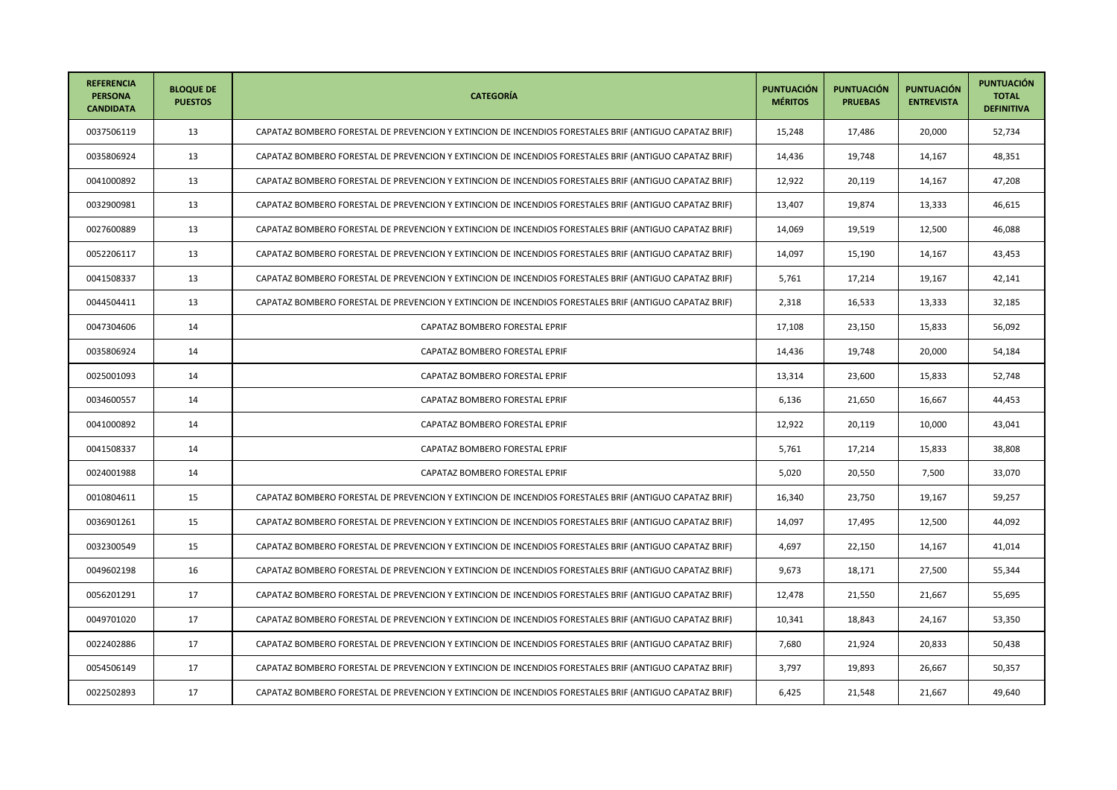| <b>REFERENCIA</b><br><b>PERSONA</b><br><b>CANDIDATA</b> | <b>BLOQUE DE</b><br><b>PUESTOS</b> | <b>CATEGORÍA</b>                                                                                       | <b>PUNTUACIÓN</b><br><b>MÉRITOS</b> | <b>PUNTUACIÓN</b><br><b>PRUEBAS</b> | <b>PUNTUACIÓN</b><br><b>ENTREVISTA</b> | <b>PUNTUACIÓN</b><br><b>TOTAL</b><br><b>DEFINITIVA</b> |
|---------------------------------------------------------|------------------------------------|--------------------------------------------------------------------------------------------------------|-------------------------------------|-------------------------------------|----------------------------------------|--------------------------------------------------------|
| 0037506119                                              | 13                                 | CAPATAZ BOMBERO FORESTAL DE PREVENCION Y EXTINCION DE INCENDIOS FORESTALES BRIF (ANTIGUO CAPATAZ BRIF) | 15,248                              | 17,486                              | 20,000                                 | 52,734                                                 |
| 0035806924                                              | 13                                 | CAPATAZ BOMBERO FORESTAL DE PREVENCION Y EXTINCION DE INCENDIOS FORESTALES BRIF (ANTIGUO CAPATAZ BRIF) | 14,436                              | 19,748                              | 14,167                                 | 48,351                                                 |
| 0041000892                                              | 13                                 | CAPATAZ BOMBERO FORESTAL DE PREVENCION Y EXTINCION DE INCENDIOS FORESTALES BRIF (ANTIGUO CAPATAZ BRIF) | 12,922                              | 20,119                              | 14,167                                 | 47,208                                                 |
| 0032900981                                              | 13                                 | CAPATAZ BOMBERO FORESTAL DE PREVENCION Y EXTINCION DE INCENDIOS FORESTALES BRIF (ANTIGUO CAPATAZ BRIF) | 13,407                              | 19,874                              | 13,333                                 | 46,615                                                 |
| 0027600889                                              | 13                                 | CAPATAZ BOMBERO FORESTAL DE PREVENCION Y EXTINCION DE INCENDIOS FORESTALES BRIF (ANTIGUO CAPATAZ BRIF) | 14,069                              | 19,519                              | 12,500                                 | 46,088                                                 |
| 0052206117                                              | 13                                 | CAPATAZ BOMBERO FORESTAL DE PREVENCION Y EXTINCION DE INCENDIOS FORESTALES BRIF (ANTIGUO CAPATAZ BRIF) | 14,097                              | 15,190                              | 14,167                                 | 43,453                                                 |
| 0041508337                                              | 13                                 | CAPATAZ BOMBERO FORESTAL DE PREVENCION Y EXTINCION DE INCENDIOS FORESTALES BRIF (ANTIGUO CAPATAZ BRIF) | 5,761                               | 17,214                              | 19,167                                 | 42,141                                                 |
| 0044504411                                              | 13                                 | CAPATAZ BOMBERO FORESTAL DE PREVENCION Y EXTINCION DE INCENDIOS FORESTALES BRIF (ANTIGUO CAPATAZ BRIF) | 2,318                               | 16,533                              | 13,333                                 | 32,185                                                 |
| 0047304606                                              | 14                                 | CAPATAZ BOMBERO FORESTAL EPRIF                                                                         | 17,108                              | 23,150                              | 15,833                                 | 56,092                                                 |
| 0035806924                                              | 14                                 | CAPATAZ BOMBERO FORESTAL EPRIF                                                                         | 14,436                              | 19,748                              | 20,000                                 | 54,184                                                 |
| 0025001093                                              | 14                                 | CAPATAZ BOMBERO FORESTAL EPRIF                                                                         | 13,314                              | 23,600                              | 15,833                                 | 52,748                                                 |
| 0034600557                                              | 14                                 | CAPATAZ BOMBERO FORESTAL EPRIF                                                                         | 6,136                               | 21,650                              | 16,667                                 | 44,453                                                 |
| 0041000892                                              | 14                                 | CAPATAZ BOMBERO FORESTAL EPRIF                                                                         | 12,922                              | 20,119                              | 10,000                                 | 43,041                                                 |
| 0041508337                                              | 14                                 | CAPATAZ BOMBERO FORESTAL EPRIF                                                                         | 5,761                               | 17,214                              | 15,833                                 | 38,808                                                 |
| 0024001988                                              | 14                                 | CAPATAZ BOMBERO FORESTAL EPRIF                                                                         | 5,020                               | 20,550                              | 7,500                                  | 33,070                                                 |
| 0010804611                                              | 15                                 | CAPATAZ BOMBERO FORESTAL DE PREVENCION Y EXTINCION DE INCENDIOS FORESTALES BRIF (ANTIGUO CAPATAZ BRIF) | 16,340                              | 23,750                              | 19,167                                 | 59,257                                                 |
| 0036901261                                              | 15                                 | CAPATAZ BOMBERO FORESTAL DE PREVENCION Y EXTINCION DE INCENDIOS FORESTALES BRIF (ANTIGUO CAPATAZ BRIF) | 14,097                              | 17,495                              | 12,500                                 | 44,092                                                 |
| 0032300549                                              | 15                                 | CAPATAZ BOMBERO FORESTAL DE PREVENCION Y EXTINCION DE INCENDIOS FORESTALES BRIF (ANTIGUO CAPATAZ BRIF) | 4,697                               | 22,150                              | 14,167                                 | 41,014                                                 |
| 0049602198                                              | 16                                 | CAPATAZ BOMBERO FORESTAL DE PREVENCION Y EXTINCION DE INCENDIOS FORESTALES BRIF (ANTIGUO CAPATAZ BRIF) | 9,673                               | 18,171                              | 27,500                                 | 55,344                                                 |
| 0056201291                                              | 17                                 | CAPATAZ BOMBERO FORESTAL DE PREVENCION Y EXTINCION DE INCENDIOS FORESTALES BRIF (ANTIGUO CAPATAZ BRIF) | 12,478                              | 21,550                              | 21,667                                 | 55,695                                                 |
| 0049701020                                              | 17                                 | CAPATAZ BOMBERO FORESTAL DE PREVENCION Y EXTINCION DE INCENDIOS FORESTALES BRIF (ANTIGUO CAPATAZ BRIF) | 10,341                              | 18,843                              | 24,167                                 | 53,350                                                 |
| 0022402886                                              | 17                                 | CAPATAZ BOMBERO FORESTAL DE PREVENCION Y EXTINCION DE INCENDIOS FORESTALES BRIF (ANTIGUO CAPATAZ BRIF) | 7,680                               | 21,924                              | 20,833                                 | 50,438                                                 |
| 0054506149                                              | 17                                 | CAPATAZ BOMBERO FORESTAL DE PREVENCION Y EXTINCION DE INCENDIOS FORESTALES BRIF (ANTIGUO CAPATAZ BRIF) | 3,797                               | 19,893                              | 26,667                                 | 50,357                                                 |
| 0022502893                                              | 17                                 | CAPATAZ BOMBERO FORESTAL DE PREVENCION Y EXTINCION DE INCENDIOS FORESTALES BRIF (ANTIGUO CAPATAZ BRIF) | 6,425                               | 21,548                              | 21,667                                 | 49,640                                                 |